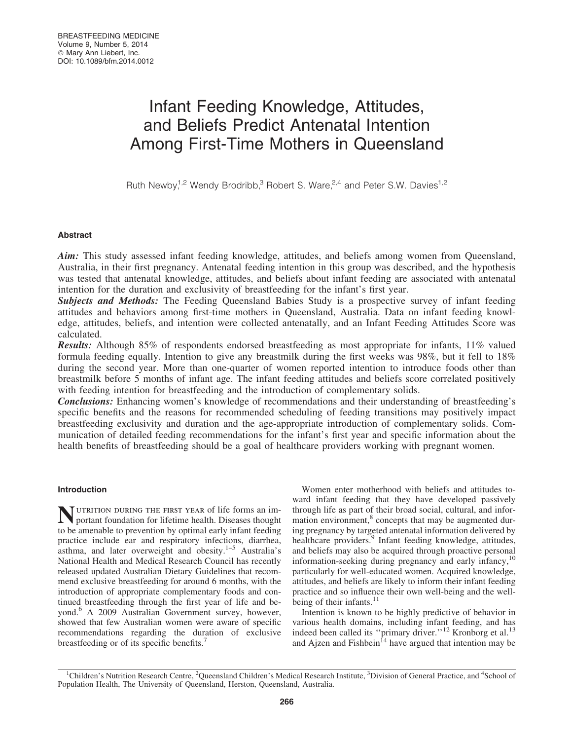# Infant Feeding Knowledge, Attitudes, and Beliefs Predict Antenatal Intention Among First-Time Mothers in Queensland

Ruth Newby,<sup>1,2</sup> Wendy Brodribb,<sup>3</sup> Robert S. Ware,<sup>2,4</sup> and Peter S.W. Davies<sup>1,2</sup>

# Abstract

Aim: This study assessed infant feeding knowledge, attitudes, and beliefs among women from Queensland, Australia, in their first pregnancy. Antenatal feeding intention in this group was described, and the hypothesis was tested that antenatal knowledge, attitudes, and beliefs about infant feeding are associated with antenatal intention for the duration and exclusivity of breastfeeding for the infant's first year.

**Subjects and Methods:** The Feeding Queensland Babies Study is a prospective survey of infant feeding attitudes and behaviors among first-time mothers in Queensland, Australia. Data on infant feeding knowledge, attitudes, beliefs, and intention were collected antenatally, and an Infant Feeding Attitudes Score was calculated.

Results: Although 85% of respondents endorsed breastfeeding as most appropriate for infants, 11% valued formula feeding equally. Intention to give any breastmilk during the first weeks was 98%, but it fell to 18% during the second year. More than one-quarter of women reported intention to introduce foods other than breastmilk before 5 months of infant age. The infant feeding attitudes and beliefs score correlated positively with feeding intention for breastfeeding and the introduction of complementary solids.

Conclusions: Enhancing women's knowledge of recommendations and their understanding of breastfeeding's specific benefits and the reasons for recommended scheduling of feeding transitions may positively impact breastfeeding exclusivity and duration and the age-appropriate introduction of complementary solids. Communication of detailed feeding recommendations for the infant's first year and specific information about the health benefits of breastfeeding should be a goal of healthcare providers working with pregnant women.

# Introduction

Nutrition during the first year of life forms an im-portant foundation for lifetime health. Diseases thought to be amenable to prevention by optimal early infant feeding practice include ear and respiratory infections, diarrhea, asthma, and later overweight and obesity. $1-5$  Australia's National Health and Medical Research Council has recently released updated Australian Dietary Guidelines that recommend exclusive breastfeeding for around 6 months, with the introduction of appropriate complementary foods and continued breastfeeding through the first year of life and beyond.<sup>6</sup> A 2009 Australian Government survey, however, showed that few Australian women were aware of specific recommendations regarding the duration of exclusive breastfeeding or of its specific benefits.<sup>7</sup>

Women enter motherhood with beliefs and attitudes toward infant feeding that they have developed passively through life as part of their broad social, cultural, and information environment,<sup>8</sup> concepts that may be augmented during pregnancy by targeted antenatal information delivered by healthcare providers.<sup>9</sup> Infant feeding knowledge, attitudes, and beliefs may also be acquired through proactive personal information-seeking during pregnancy and early infancy,<sup>10</sup> particularly for well-educated women. Acquired knowledge, attitudes, and beliefs are likely to inform their infant feeding practice and so influence their own well-being and the wellbeing of their infants.<sup>11</sup>

Intention is known to be highly predictive of behavior in various health domains, including infant feeding, and has indeed been called its "primary driver."<sup>12</sup> Kronborg et al.<sup>13</sup> and Ajzen and Fishbein<sup>14</sup> have argued that intention may be

<sup>&</sup>lt;sup>1</sup>Children's Nutrition Research Centre, <sup>2</sup>Queensland Children's Medical Research Institute, <sup>3</sup>Division of General Practice, and <sup>4</sup>School of Population Health, The University of Queensland, Herston, Queensland, Australia.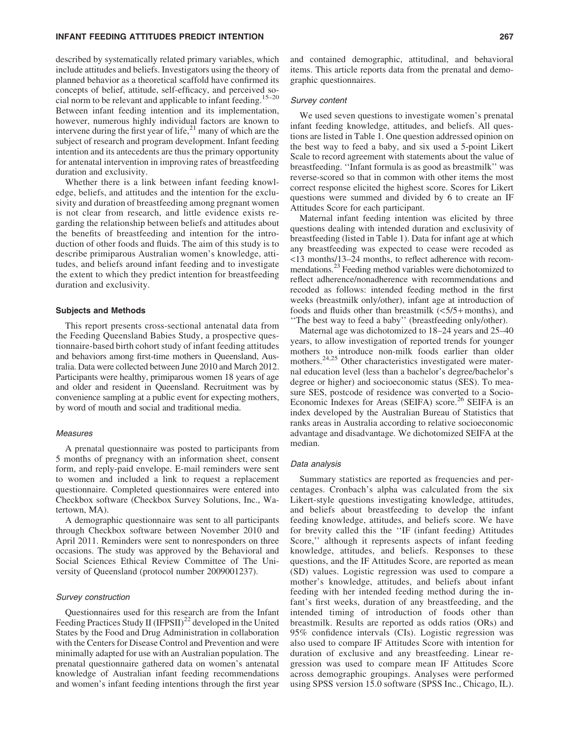## INFANT FEEDING ATTITUDES PREDICT INTENTION 267

described by systematically related primary variables, which include attitudes and beliefs. Investigators using the theory of planned behavior as a theoretical scaffold have confirmed its concepts of belief, attitude, self-efficacy, and perceived social norm to be relevant and applicable to infant feeding.<sup>15–20</sup> Between infant feeding intention and its implementation, however, numerous highly individual factors are known to intervene during the first year of life, $^{21}$  many of which are the subject of research and program development. Infant feeding intention and its antecedents are thus the primary opportunity for antenatal intervention in improving rates of breastfeeding duration and exclusivity.

Whether there is a link between infant feeding knowledge, beliefs, and attitudes and the intention for the exclusivity and duration of breastfeeding among pregnant women is not clear from research, and little evidence exists regarding the relationship between beliefs and attitudes about the benefits of breastfeeding and intention for the introduction of other foods and fluids. The aim of this study is to describe primiparous Australian women's knowledge, attitudes, and beliefs around infant feeding and to investigate the extent to which they predict intention for breastfeeding duration and exclusivity.

## Subjects and Methods

This report presents cross-sectional antenatal data from the Feeding Queensland Babies Study, a prospective questionnaire-based birth cohort study of infant feeding attitudes and behaviors among first-time mothers in Queensland, Australia. Data were collected between June 2010 and March 2012. Participants were healthy, primiparous women 18 years of age and older and resident in Queensland. Recruitment was by convenience sampling at a public event for expecting mothers, by word of mouth and social and traditional media.

#### **Measures**

A prenatal questionnaire was posted to participants from 5 months of pregnancy with an information sheet, consent form, and reply-paid envelope. E-mail reminders were sent to women and included a link to request a replacement questionnaire. Completed questionnaires were entered into Checkbox software (Checkbox Survey Solutions, Inc., Watertown, MA).

A demographic questionnaire was sent to all participants through Checkbox software between November 2010 and April 2011. Reminders were sent to nonresponders on three occasions. The study was approved by the Behavioral and Social Sciences Ethical Review Committee of The University of Queensland (protocol number 2009001237).

## Survey construction

Questionnaires used for this research are from the Infant Feeding Practices Study II  $(IFPSII)^{22}$  developed in the United States by the Food and Drug Administration in collaboration with the Centers for Disease Control and Prevention and were minimally adapted for use with an Australian population. The prenatal questionnaire gathered data on women's antenatal knowledge of Australian infant feeding recommendations and women's infant feeding intentions through the first year and contained demographic, attitudinal, and behavioral items. This article reports data from the prenatal and demographic questionnaires.

#### Survey content

We used seven questions to investigate women's prenatal infant feeding knowledge, attitudes, and beliefs. All questions are listed in Table 1. One question addressed opinion on the best way to feed a baby, and six used a 5-point Likert Scale to record agreement with statements about the value of breastfeeding. ''Infant formula is as good as breastmilk'' was reverse-scored so that in common with other items the most correct response elicited the highest score. Scores for Likert questions were summed and divided by 6 to create an IF Attitudes Score for each participant.

Maternal infant feeding intention was elicited by three questions dealing with intended duration and exclusivity of breastfeeding (listed in Table 1). Data for infant age at which any breastfeeding was expected to cease were recoded as <13 months/13–24 months, to reflect adherence with recommendations.<sup>23</sup> Feeding method variables were dichotomized to reflect adherence/nonadherence with recommendations and recoded as follows: intended feeding method in the first weeks (breastmilk only/other), infant age at introduction of foods and fluids other than breastmilk  $(<5/5+$  months), and ''The best way to feed a baby'' (breastfeeding only/other).

Maternal age was dichotomized to 18–24 years and 25–40 years, to allow investigation of reported trends for younger mothers to introduce non-milk foods earlier than older mothers.<sup>24,25</sup> Other characteristics investigated were maternal education level (less than a bachelor's degree/bachelor's degree or higher) and socioeconomic status (SES). To measure SES, postcode of residence was converted to a Socio-Economic Indexes for Areas (SEIFA) score.<sup>26</sup> SEIFA is an index developed by the Australian Bureau of Statistics that ranks areas in Australia according to relative socioeconomic advantage and disadvantage. We dichotomized SEIFA at the median.

#### Data analysis

Summary statistics are reported as frequencies and percentages. Cronbach's alpha was calculated from the six Likert-style questions investigating knowledge, attitudes, and beliefs about breastfeeding to develop the infant feeding knowledge, attitudes, and beliefs score. We have for brevity called this the ''IF (infant feeding) Attitudes Score,'' although it represents aspects of infant feeding knowledge, attitudes, and beliefs. Responses to these questions, and the IF Attitudes Score, are reported as mean (SD) values. Logistic regression was used to compare a mother's knowledge, attitudes, and beliefs about infant feeding with her intended feeding method during the infant's first weeks, duration of any breastfeeding, and the intended timing of introduction of foods other than breastmilk. Results are reported as odds ratios (ORs) and 95% confidence intervals (CIs). Logistic regression was also used to compare IF Attitudes Score with intention for duration of exclusive and any breastfeeding. Linear regression was used to compare mean IF Attitudes Score across demographic groupings. Analyses were performed using SPSS version 15.0 software (SPSS Inc., Chicago, IL).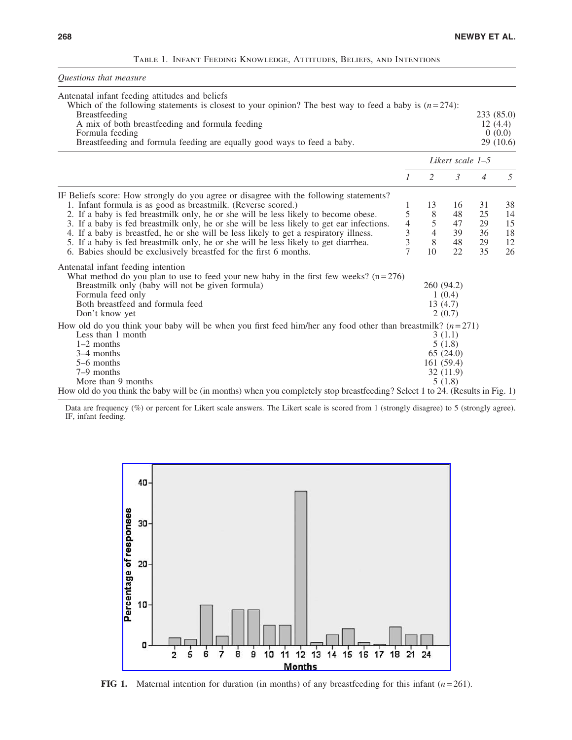|  | TABLE 1. INFANT FEEDING KNOWLEDGE, ATTITUDES, BELIEFS, AND INTENTIONS |  |  |
|--|-----------------------------------------------------------------------|--|--|
|  |                                                                       |  |  |

| Questions that measure                                                                                                                                                                                                                                                                                                                                                                                                                                                                                                                                                                            |                                           |                                           |                                                     |                                  |                                             |  |
|---------------------------------------------------------------------------------------------------------------------------------------------------------------------------------------------------------------------------------------------------------------------------------------------------------------------------------------------------------------------------------------------------------------------------------------------------------------------------------------------------------------------------------------------------------------------------------------------------|-------------------------------------------|-------------------------------------------|-----------------------------------------------------|----------------------------------|---------------------------------------------|--|
| Antenatal infant feeding attitudes and beliefs<br>Which of the following statements is closest to your opinion? The best way to feed a baby is $(n=274)$ :<br><b>Breastfeeding</b><br>A mix of both breastfeeding and formula feeding<br>Formula feeding<br>Breastfeeding and formula feeding are equally good ways to feed a baby.                                                                                                                                                                                                                                                               |                                           |                                           |                                                     |                                  | 233 (85.0)<br>12(4.4)<br>0(0.0)<br>29(10.6) |  |
|                                                                                                                                                                                                                                                                                                                                                                                                                                                                                                                                                                                                   |                                           | Likert scale 1–5                          |                                                     |                                  |                                             |  |
|                                                                                                                                                                                                                                                                                                                                                                                                                                                                                                                                                                                                   | $\mathcal{I}$                             | 2                                         | $\mathfrak{Z}$                                      | $\overline{4}$                   | 5                                           |  |
| IF Beliefs score: How strongly do you agree or disagree with the following statements?<br>1. Infant formula is as good as breastmilk. (Reverse scored.)<br>2. If a baby is fed breastmilk only, he or she will be less likely to become obese.<br>3. If a baby is fed breastmilk only, he or she will be less likely to get ear infections.<br>4. If a baby is breastfed, he or she will be less likely to get a respiratory illness.<br>5. If a baby is fed breastmilk only, he or she will be less likely to get diarrhea.<br>6. Babies should be exclusively breastfed for the first 6 months. | 1<br>5<br>4<br>3<br>3<br>$\overline{7}$   | 13<br>8<br>5<br>$\overline{4}$<br>8<br>10 | 16<br>48<br>47<br>39<br>48<br>22.                   | 31<br>25<br>29<br>36<br>29<br>35 | 38<br>14<br>15<br>18<br>12<br>26            |  |
| Antenatal infant feeding intention<br>What method do you plan to use to feed your new baby in the first few weeks? $(n=276)$<br>Breastmilk only (baby will not be given formula)<br>Formula feed only<br>Both breastfeed and formula feed<br>Don't know yet                                                                                                                                                                                                                                                                                                                                       | 260 (94.2)<br>1(0.4)<br>13(4.7)<br>2(0.7) |                                           |                                                     |                                  |                                             |  |
| How old do you think your baby will be when you first feed him/her any food other than breastmilk? $(n=271)$<br>Less than 1 month<br>$1-2$ months<br>3-4 months<br>5–6 months<br>$7-9$ months<br>More than 9 months                                                                                                                                                                                                                                                                                                                                                                               |                                           | 161(59.4)                                 | 3(1.1)<br>5(1.8)<br>65(24.0)<br>32 (11.9)<br>5(1.8) |                                  |                                             |  |
| How old do you think the baby will be (in months) when you completely stop breastfeeding? Select 1 to 24. (Results in Fig. 1)                                                                                                                                                                                                                                                                                                                                                                                                                                                                     |                                           |                                           |                                                     |                                  |                                             |  |

Data are frequency (%) or percent for Likert scale answers. The Likert scale is scored from 1 (strongly disagree) to 5 (strongly agree). IF, infant feeding.



**FIG 1.** Maternal intention for duration (in months) of any breastfeeding for this infant  $(n=261)$ .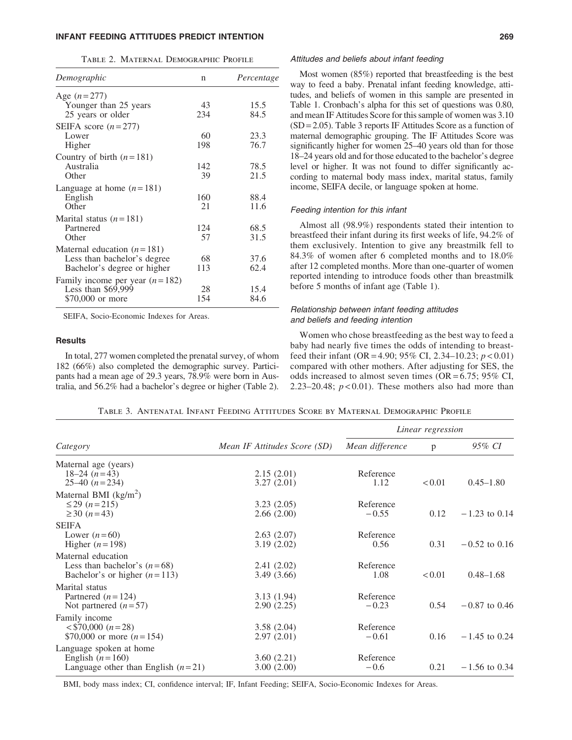# INFANT FEEDING ATTITUDES PREDICT INTENTION 269

|  | TABLE 2. MATERNAL DEMOGRAPHIC PROFILE |  |
|--|---------------------------------------|--|
|  |                                       |  |

| Demographic                      | n   | Percentage |
|----------------------------------|-----|------------|
| Age $(n=277)$                    |     |            |
| Younger than 25 years            | 43  | 15.5       |
| 25 years or older                | 234 | 84.5       |
| SEIFA score $(n=277)$            |     |            |
| Lower                            | 60  | 23.3       |
| Higher                           | 198 | 76.7       |
| Country of birth $(n=181)$       |     |            |
| Australia                        | 142 | 78.5       |
| Other                            | 39  | 21.5       |
| Language at home $(n=181)$       |     |            |
| English                          | 160 | 88.4       |
| Other                            | 21  | 11.6       |
| Marital status $(n=181)$         |     |            |
| Partnered                        | 124 | 68.5       |
| Other                            | 57  | 31.5       |
| Maternal education $(n=181)$     |     |            |
| Less than bachelor's degree      | 68  | 37.6       |
| Bachelor's degree or higher      | 113 | 62.4       |
| Family income per year $(n=182)$ |     |            |
| Less than $$69,999$              | 28  | 15.4       |
| \$70,000 or more                 | 154 | 84.6       |
|                                  |     |            |

SEIFA, Socio-Economic Indexes for Areas.

## **Results**

In total, 277 women completed the prenatal survey, of whom 182 (66%) also completed the demographic survey. Participants had a mean age of 29.3 years, 78.9% were born in Australia, and 56.2% had a bachelor's degree or higher (Table 2).

#### Attitudes and beliefs about infant feeding

Most women (85%) reported that breastfeeding is the best way to feed a baby. Prenatal infant feeding knowledge, attitudes, and beliefs of women in this sample are presented in Table 1. Cronbach's alpha for this set of questions was 0.80, and mean IF Attitudes Score for this sample of women was 3.10  $(SD = 2.05)$ . Table 3 reports IF Attitudes Score as a function of maternal demographic grouping. The IF Attitudes Score was significantly higher for women 25–40 years old than for those 18–24 years old and for those educated to the bachelor's degree level or higher. It was not found to differ significantly according to maternal body mass index, marital status, family income, SEIFA decile, or language spoken at home.

# Feeding intention for this infant

Almost all (98.9%) respondents stated their intention to breastfeed their infant during its first weeks of life, 94.2% of them exclusively. Intention to give any breastmilk fell to 84.3% of women after 6 completed months and to 18.0% after 12 completed months. More than one-quarter of women reported intending to introduce foods other than breastmilk before 5 months of infant age (Table 1).

# Relationship between infant feeding attitudes and beliefs and feeding intention

Women who chose breastfeeding as the best way to feed a baby had nearly five times the odds of intending to breastfeed their infant (OR = 4.90; 95% CI, 2.34–10.23; *p* < 0.01) compared with other mothers. After adjusting for SES, the odds increased to almost seven times ( $OR = 6.75$ ; 95% CI, 2.23–20.48;  $p < 0.01$ ). These mothers also had more than

*Linear regression*

| Category                             | Mean IF Attitudes Score (SD) | Mean difference | p      | 95% CI          |  |
|--------------------------------------|------------------------------|-----------------|--------|-----------------|--|
| Maternal age (years)                 |                              |                 |        |                 |  |
| $18-24(n=43)$                        | 2.15(2.01)                   | Reference       |        |                 |  |
| $25-40$ $(n=234)$                    | 3.27(2.01)                   | 1.12            | < 0.01 | $0.45 - 1.80$   |  |
| Maternal BMI $(kg/m2)$               |                              |                 |        |                 |  |
| $\leq$ 29 ( <i>n</i> = 215)          | 3.23(2.05)                   | Reference       |        |                 |  |
| $\geq 30$ ( <i>n</i> =43)            | 2.66(2.00)                   | $-0.55$         | 0.12   | $-1.23$ to 0.14 |  |
| <b>SEIFA</b>                         |                              |                 |        |                 |  |
| Lower $(n=60)$                       | 2.63(2.07)                   | Reference       |        |                 |  |
| Higher $(n=198)$                     | 3.19(2.02)                   | 0.56            | 0.31   | $-0.52$ to 0.16 |  |
| Maternal education                   |                              |                 |        |                 |  |
| Less than bachelor's $(n=68)$        | 2.41(2.02)                   | Reference       |        |                 |  |
| Bachelor's or higher $(n=113)$       | 3.49 (3.66)                  | 1.08            | < 0.01 | $0.48 - 1.68$   |  |
|                                      |                              |                 |        |                 |  |
| Marital status                       |                              |                 |        |                 |  |
| Partnered $(n=124)$                  | 3.13(1.94)                   | Reference       |        |                 |  |
| Not partnered $(n=57)$               | 2.90(2.25)                   | $-0.23$         | 0.54   | $-0.87$ to 0.46 |  |
| Family income                        |                              |                 |        |                 |  |
| $\langle 570,000(n=28) \rangle$      | 3.58(2.04)                   | Reference       |        |                 |  |
| \$70,000 or more $(n=154)$           | 2.97(2.01)                   | $-0.61$         | 0.16   | $-1.45$ to 0.24 |  |
| Language spoken at home              |                              |                 |        |                 |  |
| English $(n=160)$                    | 3.60(2.21)                   | Reference       |        |                 |  |
| Language other than English $(n=21)$ | 3.00(2.00)                   | $-0.6$          | 0.21   | $-1.56$ to 0.34 |  |
|                                      |                              |                 |        |                 |  |

Table 3. Antenatal Infant Feeding Attitudes Score by Maternal Demographic Profile

BMI, body mass index; CI, confidence interval; IF, Infant Feeding; SEIFA, Socio-Economic Indexes for Areas.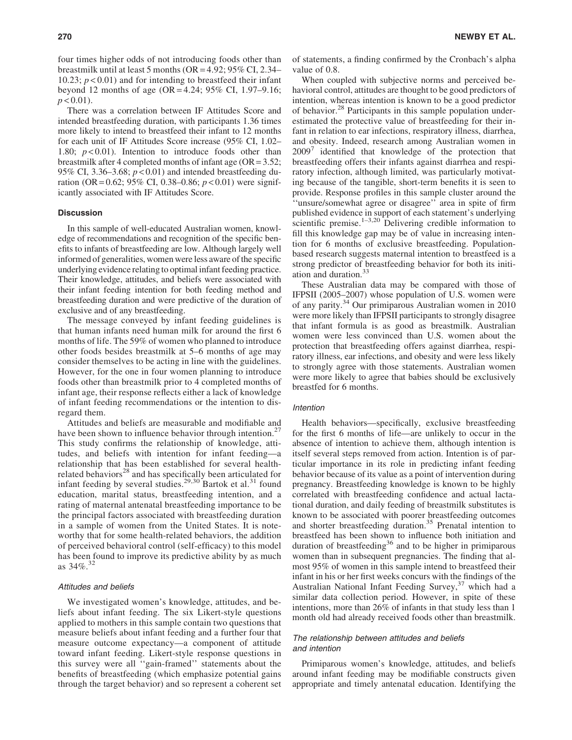four times higher odds of not introducing foods other than breastmilk until at least 5 months (OR = 4.92; 95% CI, 2.34– 10.23;  $p < 0.01$ ) and for intending to breastfeed their infant beyond 12 months of age (OR = 4.24; 95% CI, 1.97–9.16;  $p < 0.01$ ).

There was a correlation between IF Attitudes Score and intended breastfeeding duration, with participants 1.36 times more likely to intend to breastfeed their infant to 12 months for each unit of IF Attitudes Score increase (95% CI, 1.02– 1.80; *p* < 0.01). Intention to introduce foods other than breastmilk after 4 completed months of infant age  $(OR = 3.52;$ 95% CI, 3.36–3.68; *p* < 0.01) and intended breastfeeding duration (OR= 0.62; 95% CI, 0.38–0.86; *p* < 0.01) were significantly associated with IF Attitudes Score.

# **Discussion**

In this sample of well-educated Australian women, knowledge of recommendations and recognition of the specific benefits to infants of breastfeeding are low. Although largely well informed of generalities, women were less aware of the specific underlying evidence relating to optimal infant feeding practice. Their knowledge, attitudes, and beliefs were associated with their infant feeding intention for both feeding method and breastfeeding duration and were predictive of the duration of exclusive and of any breastfeeding.

The message conveyed by infant feeding guidelines is that human infants need human milk for around the first 6 months of life. The 59% of women who planned to introduce other foods besides breastmilk at 5–6 months of age may consider themselves to be acting in line with the guidelines. However, for the one in four women planning to introduce foods other than breastmilk prior to 4 completed months of infant age, their response reflects either a lack of knowledge of infant feeding recommendations or the intention to disregard them.

Attitudes and beliefs are measurable and modifiable and have been shown to influence behavior through intention.<sup>27</sup> This study confirms the relationship of knowledge, attitudes, and beliefs with intention for infant feeding—a relationship that has been established for several healthrelated behaviors<sup>28</sup> and has specifically been articulated for infant feeding by several studies.<sup>29,30</sup> Bartok et al.<sup>31</sup> found education, marital status, breastfeeding intention, and a rating of maternal antenatal breastfeeding importance to be the principal factors associated with breastfeeding duration in a sample of women from the United States. It is noteworthy that for some health-related behaviors, the addition of perceived behavioral control (self-efficacy) to this model has been found to improve its predictive ability by as much as  $34\%$ <sup>32</sup>

# Attitudes and beliefs

We investigated women's knowledge, attitudes, and beliefs about infant feeding. The six Likert-style questions applied to mothers in this sample contain two questions that measure beliefs about infant feeding and a further four that measure outcome expectancy—a component of attitude toward infant feeding. Likert-style response questions in this survey were all ''gain-framed'' statements about the benefits of breastfeeding (which emphasize potential gains through the target behavior) and so represent a coherent set of statements, a finding confirmed by the Cronbach's alpha value of 0.8.

When coupled with subjective norms and perceived behavioral control, attitudes are thought to be good predictors of intention, whereas intention is known to be a good predictor of behavior.<sup>28</sup> Participants in this sample population underestimated the protective value of breastfeeding for their infant in relation to ear infections, respiratory illness, diarrhea, and obesity. Indeed, research among Australian women in  $2009'$  identified that knowledge of the protection that breastfeeding offers their infants against diarrhea and respiratory infection, although limited, was particularly motivating because of the tangible, short-term benefits it is seen to provide. Response profiles in this sample cluster around the ''unsure/somewhat agree or disagree'' area in spite of firm published evidence in support of each statement's underlying scientific premise.<sup>1–3,20</sup> Delivering credible information to fill this knowledge gap may be of value in increasing intention for 6 months of exclusive breastfeeding. Populationbased research suggests maternal intention to breastfeed is a strong predictor of breastfeeding behavior for both its initiation and duration. $33$ 

These Australian data may be compared with those of IFPSII (2005–2007) whose population of U.S. women were of any parity.34 Our primiparous Australian women in 2010 were more likely than IFPSII participants to strongly disagree that infant formula is as good as breastmilk. Australian women were less convinced than U.S. women about the protection that breastfeeding offers against diarrhea, respiratory illness, ear infections, and obesity and were less likely to strongly agree with those statements. Australian women were more likely to agree that babies should be exclusively breastfed for 6 months.

# **Intention**

Health behaviors—specifically, exclusive breastfeeding for the first 6 months of life—are unlikely to occur in the absence of intention to achieve them, although intention is itself several steps removed from action. Intention is of particular importance in its role in predicting infant feeding behavior because of its value as a point of intervention during pregnancy. Breastfeeding knowledge is known to be highly correlated with breastfeeding confidence and actual lactational duration, and daily feeding of breastmilk substitutes is known to be associated with poorer breastfeeding outcomes and shorter breastfeeding duration.<sup>35</sup> Prenatal intention to breastfeed has been shown to influence both initiation and duration of breastfeeding<sup>36</sup> and to be higher in primiparous women than in subsequent pregnancies. The finding that almost 95% of women in this sample intend to breastfeed their infant in his or her first weeks concurs with the findings of the Australian National Infant Feeding Survey,<sup>37</sup> which had a similar data collection period. However, in spite of these intentions, more than 26% of infants in that study less than 1 month old had already received foods other than breastmilk.

# The relationship between attitudes and beliefs and intention

Primiparous women's knowledge, attitudes, and beliefs around infant feeding may be modifiable constructs given appropriate and timely antenatal education. Identifying the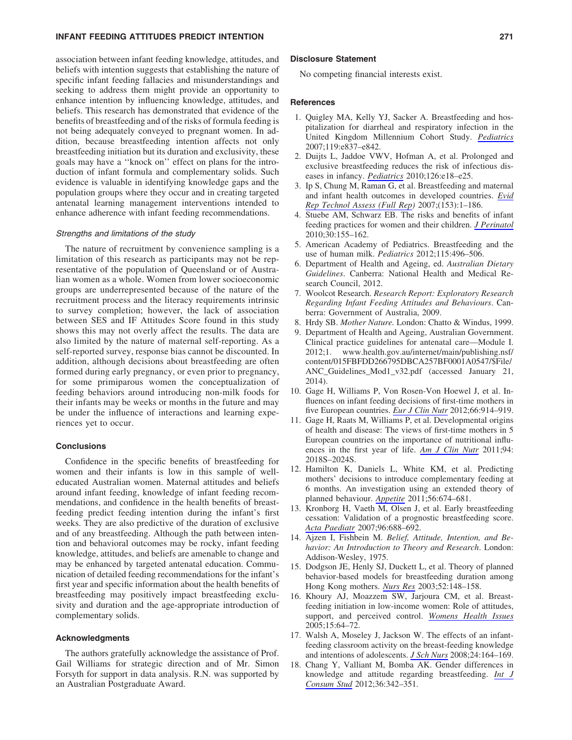## INFANT FEEDING ATTITUDES PREDICT INTENTION 271

association between infant feeding knowledge, attitudes, and beliefs with intention suggests that establishing the nature of specific infant feeding fallacies and misunderstandings and seeking to address them might provide an opportunity to enhance intention by influencing knowledge, attitudes, and beliefs. This research has demonstrated that evidence of the benefits of breastfeeding and of the risks of formula feeding is not being adequately conveyed to pregnant women. In addition, because breastfeeding intention affects not only breastfeeding initiation but its duration and exclusivity, these goals may have a ''knock on'' effect on plans for the introduction of infant formula and complementary solids. Such evidence is valuable in identifying knowledge gaps and the population groups where they occur and in creating targeted antenatal learning management interventions intended to enhance adherence with infant feeding recommendations.

# Strengths and limitations of the study

The nature of recruitment by convenience sampling is a limitation of this research as participants may not be representative of the population of Queensland or of Australian women as a whole. Women from lower socioeconomic groups are underrepresented because of the nature of the recruitment process and the literacy requirements intrinsic to survey completion; however, the lack of association between SES and IF Attitudes Score found in this study shows this may not overly affect the results. The data are also limited by the nature of maternal self-reporting. As a self-reported survey, response bias cannot be discounted. In addition, although decisions about breastfeeding are often formed during early pregnancy, or even prior to pregnancy, for some primiparous women the conceptualization of feeding behaviors around introducing non-milk foods for their infants may be weeks or months in the future and may be under the influence of interactions and learning experiences yet to occur.

# **Conclusions**

Confidence in the specific benefits of breastfeeding for women and their infants is low in this sample of welleducated Australian women. Maternal attitudes and beliefs around infant feeding, knowledge of infant feeding recommendations, and confidence in the health benefits of breastfeeding predict feeding intention during the infant's first weeks. They are also predictive of the duration of exclusive and of any breastfeeding. Although the path between intention and behavioral outcomes may be rocky, infant feeding knowledge, attitudes, and beliefs are amenable to change and may be enhanced by targeted antenatal education. Communication of detailed feeding recommendations for the infant's first year and specific information about the health benefits of breastfeeding may positively impact breastfeeding exclusivity and duration and the age-appropriate introduction of complementary solids.

## Acknowledgments

The authors gratefully acknowledge the assistance of Prof. Gail Williams for strategic direction and of Mr. Simon Forsyth for support in data analysis. R.N. was supported by an Australian Postgraduate Award.

### Disclosure Statement

No competing financial interests exist.

#### References

- 1. Quigley MA, Kelly YJ, Sacker A. Breastfeeding and hospitalization for diarrheal and respiratory infection in the United Kingdom Millennium Cohort Study. *[Pediatrics](http://online.liebertpub.com/action/showLinks?pmid=17403827&crossref=10.1542%2Fpeds.2006-2256)* 2007;119:e837–e842.
- 2. Duijts L, Jaddoe VWV, Hofman A, et al. Prolonged and exclusive breastfeeding reduces the risk of infectious diseases in infancy. *[Pediatrics](http://online.liebertpub.com/action/showLinks?pmid=20566605&crossref=10.1542%2Fpeds.2008-3256)* 2010;126:e18–e25.
- 3. Ip S, Chung M, Raman G, et al. Breastfeeding and maternal and infant health outcomes in developed countries. *[Evid](http://online.liebertpub.com/action/showLinks?pmid=17764214) [Rep Technol Assess \(Full Rep](http://online.liebertpub.com/action/showLinks?pmid=17764214))* 2007;(153):1–186.
- 4. Stuebe AM, Schwarz EB. The risks and benefits of infant feeding practices for women and their children. *[J Perinatol](http://online.liebertpub.com/action/showLinks?pmid=19609306&crossref=10.1038%2Fjp.2009.107)* 2010;30:155–162.
- 5. American Academy of Pediatrics. Breastfeeding and the use of human milk. *Pediatrics* 2012;115:496–506.
- 6. Department of Health and Ageing, ed. *Australian Dietary Guidelines*. Canberra: National Health and Medical Research Council, 2012.
- 7. Woolcot Research. *Research Report: Exploratory Research Regarding Infant Feeding Attitudes and Behaviours*. Canberra: Government of Australia, 2009.
- 8. Hrdy SB. *Mother Nature.* London: Chatto & Windus, 1999.
- 9. Department of Health and Ageing, Australian Government. Clinical practice guidelines for antenatal care—Module I. 2012;1. www.health.gov.au/internet/main/publishing.nsf/ content/015FBFDD266795DBCA257BF0001A0547/\$File/ ANC\_Guidelines\_Mod1\_v32.pdf (accessed January 21, 2014).
- 10. Gage H, Williams P, Von Rosen-Von Hoewel J, et al. Influences on infant feeding decisions of first-time mothers in five European countries. *[Eur J Clin Nutr](http://online.liebertpub.com/action/showLinks?pmid=22692025&crossref=10.1038%2Fejcn.2012.56)* 2012;66:914–919.
- 11. Gage H, Raats M, Williams P, et al. Developmental origins of health and disease: The views of first-time mothers in 5 European countries on the importance of nutritional influences in the first year of life. *[Am J Clin Nutr](http://online.liebertpub.com/action/showLinks?pmid=21849599&crossref=10.3945%2Fajcn.110.001255)* 2011;94: 2018S–2024S.
- 12. Hamilton K, Daniels L, White KM, et al. Predicting mothers' decisions to introduce complementary feeding at 6 months. An investigation using an extended theory of planned behaviour. *[Appetite](http://online.liebertpub.com/action/showLinks?pmid=21316413&crossref=10.1016%2Fj.appet.2011.02.002)* 2011;56:674–681.
- 13. Kronborg H, Vaeth M, Olsen J, et al. Early breastfeeding cessation: Validation of a prognostic breastfeeding score. *[Acta Paediatr](http://online.liebertpub.com/action/showLinks?pmid=17376182&crossref=10.1111%2Fj.1651-2227.2007.00245.x)* 2007;96:688–692.
- 14. Ajzen I, Fishbein M. *Belief, Attitude, Intention, and Behavior: An Introduction to Theory and Research*. London: Addison-Wesley, 1975.
- 15. Dodgson JE, Henly SJ, Duckett L, et al. Theory of planned behavior-based models for breastfeeding duration among Hong Kong mothers. *[Nurs Res](http://online.liebertpub.com/action/showLinks?pmid=12792255&crossref=10.1097%2F00006199-200305000-00004)* 2003;52:148–158.
- 16. Khoury AJ, Moazzem SW, Jarjoura CM, et al. Breastfeeding initiation in low-income women: Role of attitudes, support, and perceived control. *[Womens Health Issues](http://online.liebertpub.com/action/showLinks?pmid=15767196&crossref=10.1016%2Fj.whi.2004.09.003)* 2005;15:64–72.
- 17. Walsh A, Moseley J, Jackson W. The effects of an infantfeeding classroom activity on the breast-feeding knowledge and intentions of adolescents. *[J Sch Nurs](http://online.liebertpub.com/action/showLinks?pmid=18557676&crossref=10.1177%2F1059840555667788)* 2008;24:164–169.
- 18. Chang Y, Valliant M, Bomba AK. Gender differences in knowledge and attitude regarding breastfeeding. *[Int J](http://online.liebertpub.com/action/showLinks?crossref=10.1111%2Fj.1470-6431.2010.00994.x) [Consum Stud](http://online.liebertpub.com/action/showLinks?crossref=10.1111%2Fj.1470-6431.2010.00994.x)* 2012;36:342–351.